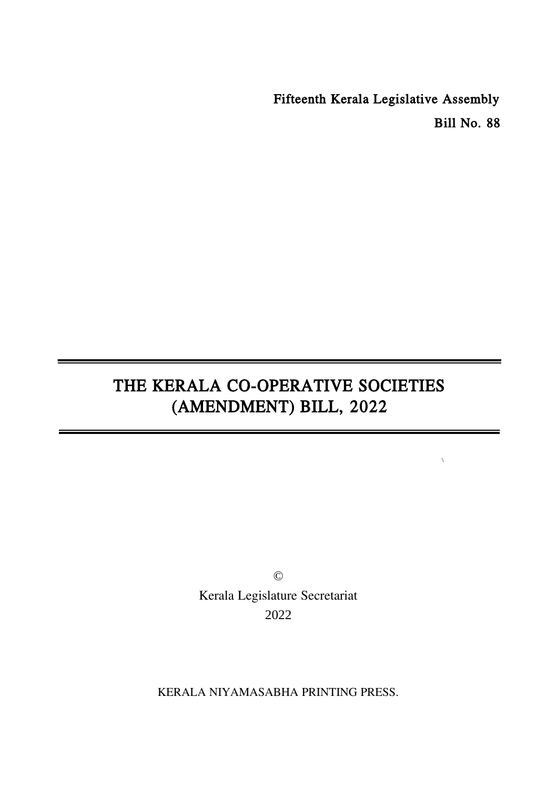Fifteenth Kerala Legislative Assembly Bill No. 88

 $\bar{\chi}$ 

# THE KERALA CO-OPERATIVE SOCIETIES (AMENDMENT) BILL, 2022

© Kerala Legislature Secretariat 2022

KERALA NIYAMASABHA PRINTING PRESS.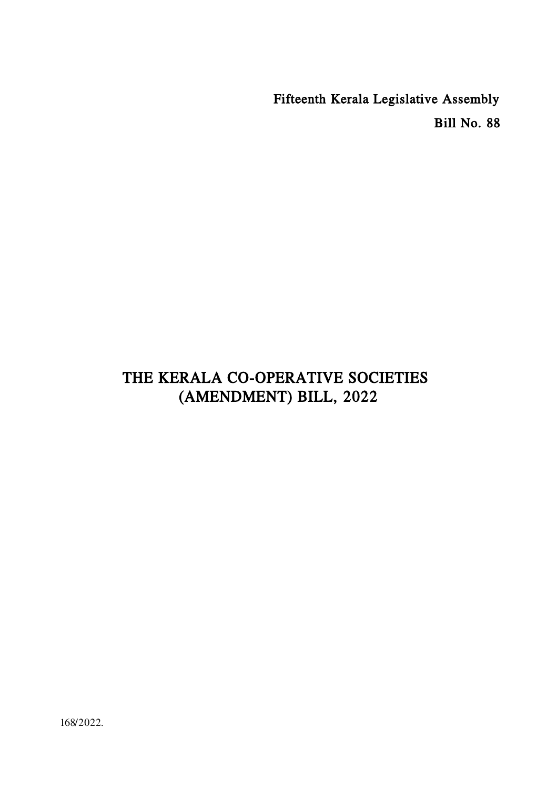Fifteenth Kerala Legislative Assembly Bill No. 88

## THE KERALA CO-OPERATIVE SOCIETIES (AMENDMENT) BILL, 2022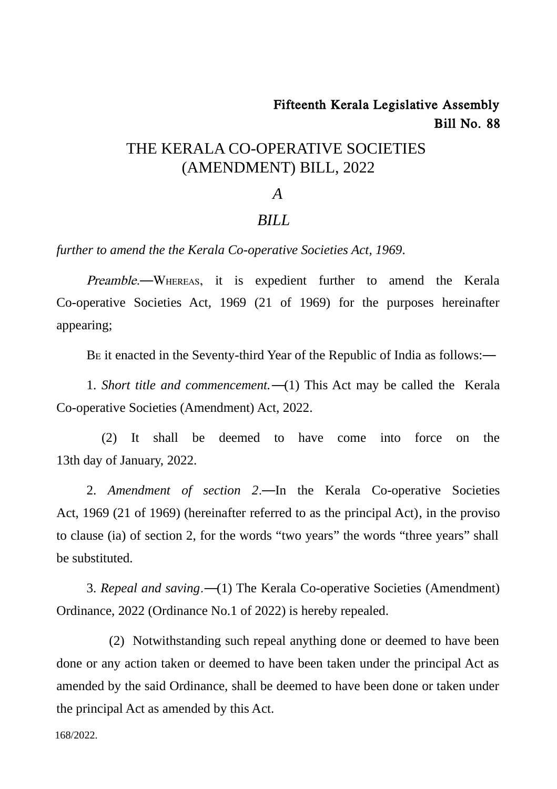## Fifteenth Kerala Legislative Assembly Bill No. 88

### THE KERALA CO-OPERATIVE SOCIETIES (AMENDMENT) BILL, 2022

#### *A*

### *BILL*

*further to amend the the Kerala Co-operative Societies Act, 1969.*

Preamble.—WHEREAS, it is expedient further to amend the Kerala Co-operative Societies Act, 1969 (21 of 1969) for the purposes hereinafter appearing;

B<sup>E</sup> it enacted in the Seventy-third Year of the Republic of India as follows:―

1. *Short title and commencement.*―(1) This Act may be called the Kerala Co-operative Societies (Amendment) Act, 2022.

(2) It shall be deemed to have come into force on the 13th day of January, 2022.

2. *Amendment of section 2*.―In the Kerala Co-operative Societies Act, 1969 (21 of 1969) (hereinafter referred to as the principal Act), in the proviso to clause (ia) of section 2, for the words "two years" the words "three years" shall be substituted.

3. *Repeal and saving*.―(1) The Kerala Co-operative Societies (Amendment) Ordinance, 2022 (Ordinance No.1 of 2022) is hereby repealed.

(2) Notwithstanding such repeal anything done or deemed to have been done or any action taken or deemed to have been taken under the principal Act as amended by the said Ordinance, shall be deemed to have been done or taken under the principal Act as amended by this Act.

168/2022.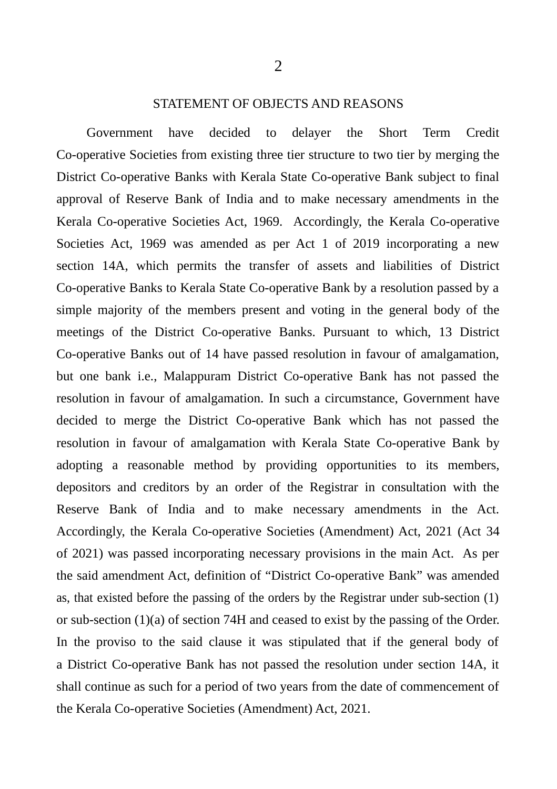#### STATEMENT OF OBJECTS AND REASONS

Government have decided to delayer the Short Term Credit Co-operative Societies from existing three tier structure to two tier by merging the District Co-operative Banks with Kerala State Co-operative Bank subject to final approval of Reserve Bank of India and to make necessary amendments in the Kerala Co-operative Societies Act, 1969. Accordingly, the Kerala Co-operative Societies Act, 1969 was amended as per Act 1 of 2019 incorporating a new section 14A, which permits the transfer of assets and liabilities of District Co-operative Banks to Kerala State Co-operative Bank by a resolution passed by a simple majority of the members present and voting in the general body of the meetings of the District Co-operative Banks. Pursuant to which, 13 District Co-operative Banks out of 14 have passed resolution in favour of amalgamation, but one bank i.e., Malappuram District Co-operative Bank has not passed the resolution in favour of amalgamation. In such a circumstance, Government have decided to merge the District Co-operative Bank which has not passed the resolution in favour of amalgamation with Kerala State Co-operative Bank by adopting a reasonable method by providing opportunities to its members, depositors and creditors by an order of the Registrar in consultation with the Reserve Bank of India and to make necessary amendments in the Act. Accordingly, the Kerala Co-operative Societies (Amendment) Act, 2021 (Act 34 of 2021) was passed incorporating necessary provisions in the main Act. As per the said amendment Act, definition of "District Co-operative Bank" was amended as, that existed before the passing of the orders by the Registrar under sub-section (1) or sub-section (1)(a) of section 74H and ceased to exist by the passing of the Order. In the proviso to the said clause it was stipulated that if the general body of a District Co-operative Bank has not passed the resolution under section 14A, it shall continue as such for a period of two years from the date of commencement of the Kerala Co-operative Societies (Amendment) Act, 2021.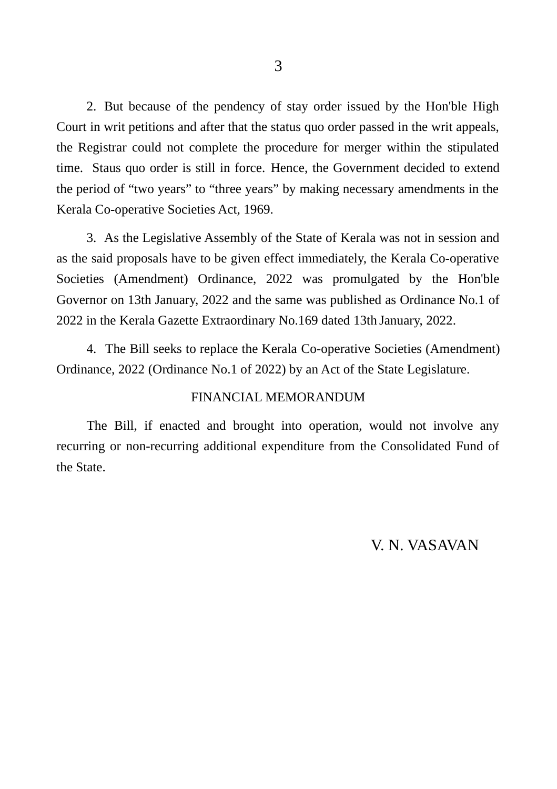2. But because of the pendency of stay order issued by the Hon'ble High Court in writ petitions and after that the status quo order passed in the writ appeals, the Registrar could not complete the procedure for merger within the stipulated time. Staus quo order is still in force. Hence, the Government decided to extend the period of "two years" to "three years" by making necessary amendments in the Kerala Co-operative Societies Act, 1969.

3. As the Legislative Assembly of the State of Kerala was not in session and as the said proposals have to be given effect immediately, the Kerala Co-operative Societies (Amendment) Ordinance, 2022 was promulgated by the Hon'ble Governor on 13th January, 2022 and the same was published as Ordinance No.1 of 2022 in the Kerala Gazette Extraordinary No.169 dated 13th January, 2022.

4. The Bill seeks to replace the Kerala Co-operative Societies (Amendment) Ordinance, 2022 (Ordinance No.1 of 2022) by an Act of the State Legislature.

#### FINANCIAL MEMORANDUM

The Bill, if enacted and brought into operation, would not involve any recurring or non-recurring additional expenditure from the Consolidated Fund of the State.

### V. N. VASAVAN